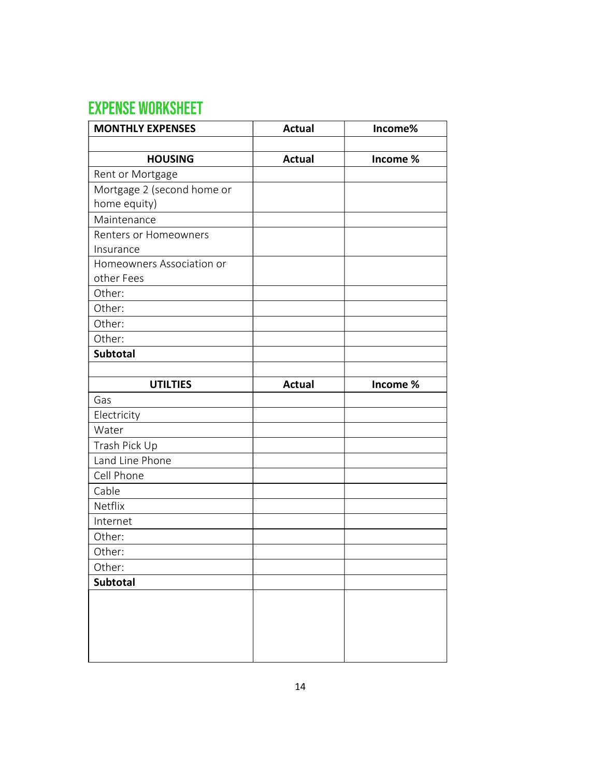## **EXPENSE WORKSHEET**

| <b>MONTHLY EXPENSES</b>      | <b>Actual</b> | Income%  |
|------------------------------|---------------|----------|
|                              |               |          |
| <b>HOUSING</b>               | <b>Actual</b> | Income % |
| Rent or Mortgage             |               |          |
| Mortgage 2 (second home or   |               |          |
| home equity)                 |               |          |
| Maintenance                  |               |          |
| <b>Renters or Homeowners</b> |               |          |
| Insurance                    |               |          |
| Homeowners Association or    |               |          |
| other Fees                   |               |          |
| Other:                       |               |          |
| Other:                       |               |          |
| Other:                       |               |          |
| Other:                       |               |          |
| Subtotal                     |               |          |
|                              |               |          |
| <b>UTILTIES</b>              | <b>Actual</b> | Income % |
| Gas                          |               |          |
| Electricity                  |               |          |
| Water                        |               |          |
| Trash Pick Up                |               |          |
| Land Line Phone              |               |          |
| Cell Phone                   |               |          |
| Cable                        |               |          |
| Netflix                      |               |          |
| Internet                     |               |          |
| Other:                       |               |          |
| Other:                       |               |          |
| Other:                       |               |          |
| <b>Subtotal</b>              |               |          |
|                              |               |          |
|                              |               |          |
|                              |               |          |
|                              |               |          |
|                              |               |          |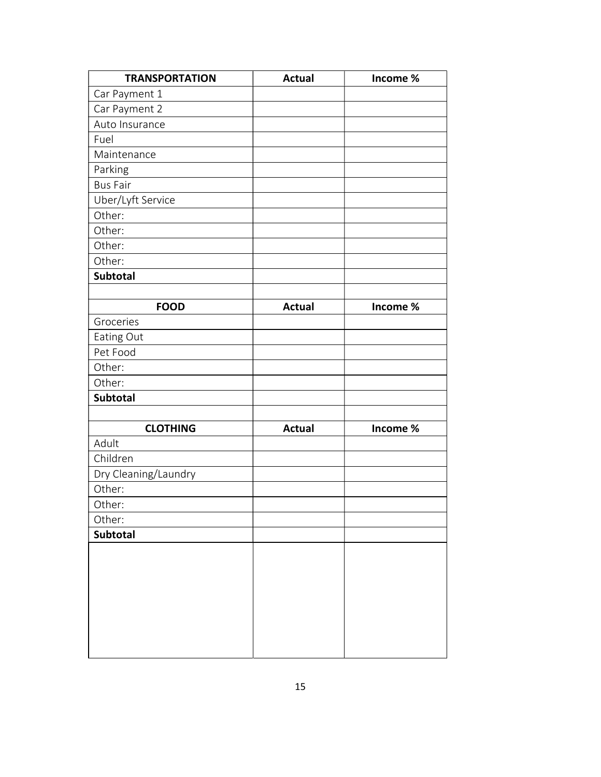| <b>TRANSPORTATION</b> | <b>Actual</b> | Income % |
|-----------------------|---------------|----------|
| Car Payment 1         |               |          |
| Car Payment 2         |               |          |
| Auto Insurance        |               |          |
| Fuel                  |               |          |
| Maintenance           |               |          |
| Parking               |               |          |
| <b>Bus Fair</b>       |               |          |
| Uber/Lyft Service     |               |          |
| Other:                |               |          |
| Other:                |               |          |
| Other:                |               |          |
| Other:                |               |          |
| Subtotal              |               |          |
|                       |               |          |
| <b>FOOD</b>           | <b>Actual</b> | Income % |
| Groceries             |               |          |
| Eating Out            |               |          |
| Pet Food              |               |          |
| Other:                |               |          |
| Other:                |               |          |
| <b>Subtotal</b>       |               |          |
|                       |               |          |
| <b>CLOTHING</b>       | <b>Actual</b> | Income % |
| Adult                 |               |          |
| Children              |               |          |
| Dry Cleaning/Laundry  |               |          |
| Other:                |               |          |
| Other:                |               |          |
| Other:                |               |          |
| Subtotal              |               |          |
|                       |               |          |
|                       |               |          |
|                       |               |          |
|                       |               |          |
|                       |               |          |
|                       |               |          |
|                       |               |          |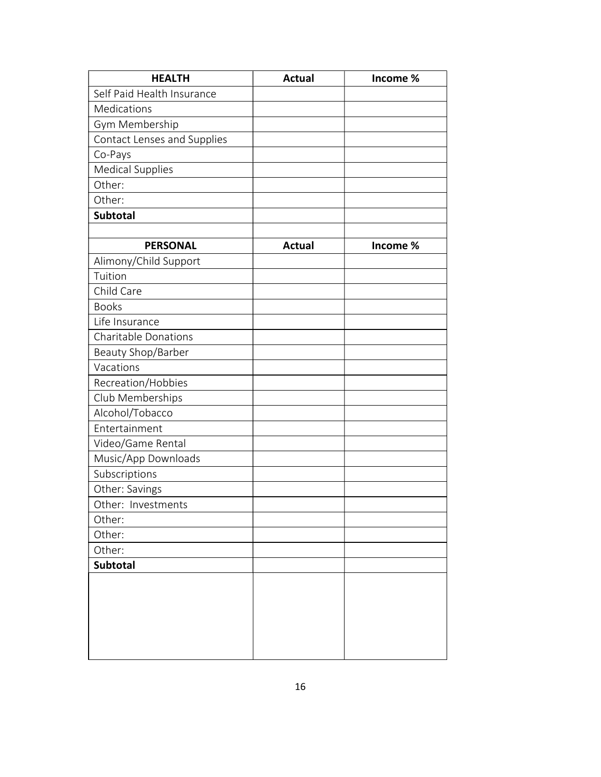| <b>HEALTH</b>               | <b>Actual</b> | Income % |
|-----------------------------|---------------|----------|
| Self Paid Health Insurance  |               |          |
| Medications                 |               |          |
| Gym Membership              |               |          |
| Contact Lenses and Supplies |               |          |
| Co-Pays                     |               |          |
| <b>Medical Supplies</b>     |               |          |
| Other:                      |               |          |
| Other:                      |               |          |
| Subtotal                    |               |          |
|                             |               |          |
| <b>PERSONAL</b>             | <b>Actual</b> | Income % |
| Alimony/Child Support       |               |          |
| Tuition                     |               |          |
| Child Care                  |               |          |
| <b>Books</b>                |               |          |
| Life Insurance              |               |          |
| <b>Charitable Donations</b> |               |          |
| Beauty Shop/Barber          |               |          |
| Vacations                   |               |          |
| Recreation/Hobbies          |               |          |
| Club Memberships            |               |          |
| Alcohol/Tobacco             |               |          |
| Entertainment               |               |          |
| Video/Game Rental           |               |          |
| Music/App Downloads         |               |          |
| Subscriptions               |               |          |
| Other: Savings              |               |          |
| Other: Investments          |               |          |
| Other:                      |               |          |
| Other:                      |               |          |
| Other:                      |               |          |
| <b>Subtotal</b>             |               |          |
|                             |               |          |
|                             |               |          |
|                             |               |          |
|                             |               |          |
|                             |               |          |
|                             |               |          |